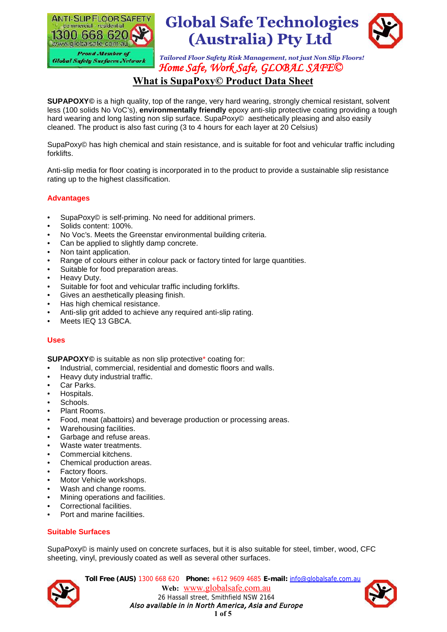



# **What is SupaPoxy© Product Data Sheet**

**SUPAPOXY©** is a high quality, top of the range, very hard wearing, strongly chemical resistant, solvent less (100 solids No VoC's), **environmentally friendly** epoxy anti-slip protective coating providing a tough hard wearing and long lasting non slip surface. SupaPoxy© aesthetically pleasing and also easily cleaned. The product is also fast curing (3 to 4 hours for each layer at 20 Celsius)

SupaPoxy© has high chemical and stain resistance, and is suitable for foot and vehicular traffic including forklifts.

Anti-slip media for floor coating is incorporated in to the product to provide a sustainable slip resistance rating up to the highest classification.

### **Advantages**

- SupaPoxy© is self-priming. No need for additional primers.
- Solids content: 100%.
- No Voc's. Meets the Greenstar environmental building criteria.
- Can be applied to slightly damp concrete.
- Non taint application.
- Range of colours either in colour pack or factory tinted for large quantities.
- Suitable for food preparation areas.
- Heavy Duty.
- Suitable for foot and vehicular traffic including forklifts.
- Gives an aesthetically pleasing finish.
- Has high chemical resistance.
- Anti-slip grit added to achieve any required anti-slip rating.
- Meets IEQ 13 GBCA.

### **Uses**

**SUPAPOXY©** is suitable as non slip protective\* coating for:

- Industrial, commercial, residential and domestic floors and walls.
- Heavy duty industrial traffic.
- Car Parks.
- Hospitals.
- Schools.
- Plant Rooms.
- Food, meat (abattoirs) and beverage production or processing areas.
- Warehousing facilities.
- Garbage and refuse areas.
- Waste water treatments.
- Commercial kitchens.
- Chemical production areas.
- Factory floors.
- Motor Vehicle workshops.
- Wash and change rooms.
- Mining operations and facilities.
- Correctional facilities.
- Port and marine facilities.

### **Suitable Surfaces**

SupaPoxy© is mainly used on concrete surfaces, but it is also suitable for steel, timber, wood, CFC sheeting, vinyl, previously coated as well as several other surfaces.



**Toll Free (AUS)** 1300 668 620 **Phone:** +612 9609 4685 **E-mail:** info@globalsafe.com.au Web: www.globalsafe.com.au 26 Hassall street, Smithfield NSW 2164 Also available in in North America, Asia and Europe  $1$  of  $5$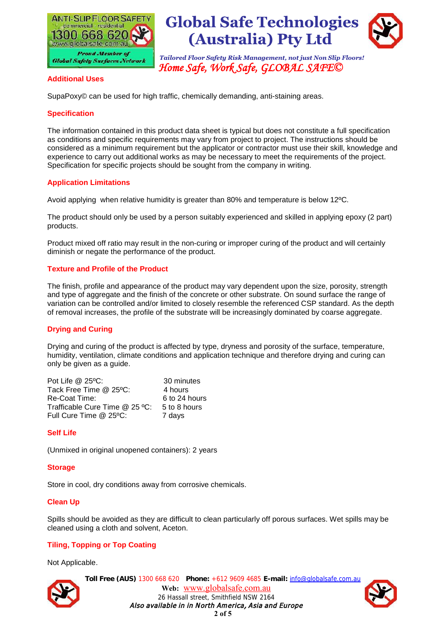



#### **Additional Uses**

SupaPoxy© can be used for high traffic, chemically demanding, anti-staining areas.

### **Specification**

The information contained in this product data sheet is typical but does not constitute a full specification as conditions and specific requirements may vary from project to project. The instructions should be considered as a minimum requirement but the applicator or contractor must use their skill, knowledge and experience to carry out additional works as may be necessary to meet the requirements of the project. Specification for specific projects should be sought from the company in writing.

### **Application Limitations**

Avoid applying when relative humidity is greater than 80% and temperature is below 12ºC.

The product should only be used by a person suitably experienced and skilled in applying epoxy (2 part) products.

Product mixed off ratio may result in the non-curing or improper curing of the product and will certainly diminish or negate the performance of the product.

### **Texture and Profile of the Product**

The finish, profile and appearance of the product may vary dependent upon the size, porosity, strength and type of aggregate and the finish of the concrete or other substrate. On sound surface the range of variation can be controlled and/or limited to closely resemble the referenced CSP standard. As the depth of removal increases, the profile of the substrate will be increasingly dominated by coarse aggregate.

### **Drying and Curing**

Drying and curing of the product is affected by type, dryness and porosity of the surface, temperature, humidity, ventilation, climate conditions and application technique and therefore drying and curing can only be given as a guide.

| Pot Life $@25°C$ :             | 30 minutes    |
|--------------------------------|---------------|
| Tack Free Time $@$ 25°C:       | 4 hours       |
| Re-Coat Time:                  | 6 to 24 hours |
| Trafficable Cure Time @ 25 °C: | 5 to 8 hours  |
| Full Cure Time @ 25°C:         | 7 days        |

### **Self Life**

(Unmixed in original unopened containers): 2 years

### **Storage**

Store in cool, dry conditions away from corrosive chemicals.

### **Clean Up**

Spills should be avoided as they are difficult to clean particularly off porous surfaces. Wet spills may be cleaned using a cloth and solvent, Aceton.

### **Tiling, Topping or Top Coating**

Not Applicable.



**Toll Free (AUS)** 1300 668 620 **Phone:** +612 9609 4685 **E-mail:** info@globalsafe.com.au Web: www.globalsafe.com.au 26 Hassall street, Smithfield NSW 2164 Also available in in North America, Asia and Europe  $2$  of  $5$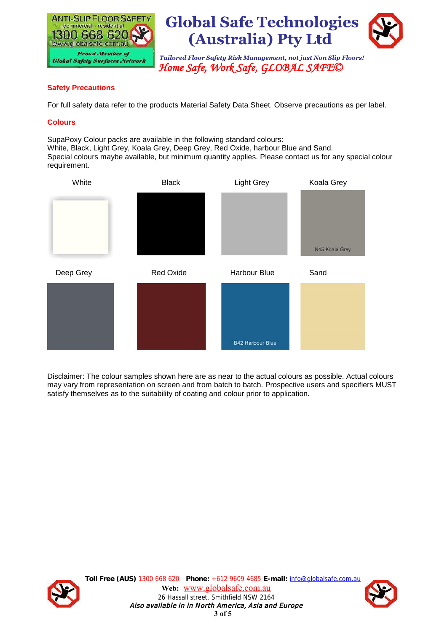



# **Safety Precautions**

For full safety data refer to the products Material Safety Data Sheet. Observe precautions as per label.

### **Colours**

SupaPoxy Colour packs are available in the following standard colours: White, Black, Light Grey, Koala Grey, Deep Grey, Red Oxide, harbour Blue and Sand. Special colours maybe available, but minimum quantity applies. Please contact us for any special colour requirement.



Disclaimer: The colour samples shown here are as near to the actual colours as possible. Actual colours may vary from representation on screen and from batch to batch. Prospective users and specifiers MUST satisfy themselves as to the suitability of coating and colour prior to application.



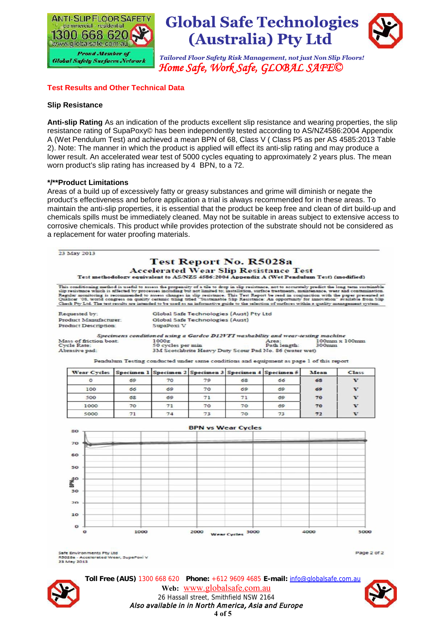



## **Test Results and Other Technical Data**

#### **Slip Resistance**

**Anti-slip Rating** As an indication of the products excellent slip resistance and wearing properties, the slip resistance rating of SupaPoxy© has been independently tested according to AS/NZ4586:2004 Appendix A (Wet Pendulum Test) and achieved a mean BPN of 68, Class V ( Class P5 as per AS 4585:2013 Table 2). Note: The manner in which the product is applied will effect its anti-slip rating and may produce a lower result. An accelerated wear test of 5000 cycles equating to approximately 2 years plus. The mean worn product's slip rating has increased by 4 BPN, to a 72.

#### **\*/\*\*Product Limitations**

Areas of a build up of excessively fatty or greasy substances and grime will diminish or negate the product's effectiveness and before application a trial is always recommended for in these areas. To maintain the anti-slip properties, it is essential that the product be keep free and clean of dirt build-up and chemicals spills must be immediately cleaned. May not be suitable in areas subject to extensive access to corrosive chemicals. This product while provides protection of the substrate should not be considered as a replacement for water proofing materials.



Safe Environments Pty Ltd 85028a - Accelerated Wear, SupaPoxi V 23 May 2013

Page 2 of 2



**Toll Free (AUS)** 1300 668 620 **Phone:** +612 9609 4685 **E-mail:** info@globalsafe.com.au Web: www.globalsafe.com.au 26 Hassall street, Smithfield NSW 2164 Also available in in North America, Asia and Europe 4 of  $5$